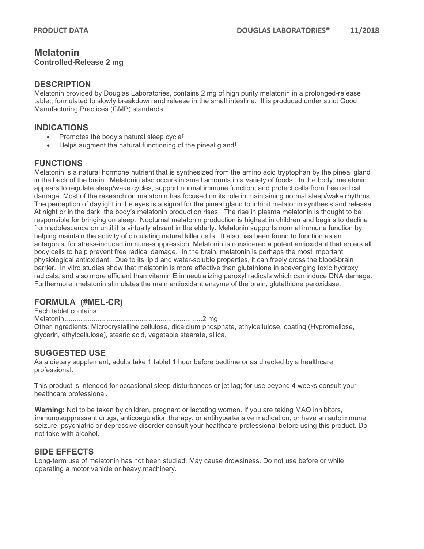### **Melatonin Controlled-Release 2 mg**

#### **DESCRIPTION**

Melatonin provided by Douglas Laboratories, contains 2 mg of high purity melatonin in a prolonged-release tablet, formulated to slowly breakdown and release in the small intestine. It is produced under strict Good Manufacturing Practices (GMP) standards.

### **INDICATIONS**

- Promotes the body's natural sleep cycle<sup>‡</sup>
- Helps augment the natural functioning of the pineal gland‡

### **FUNCTIONS**

Melatonin is a natural hormone nutrient that is synthesized from the amino acid tryptophan by the pineal gland in the back of the brain. Melatonin also occurs in small amounts in a variety of foods. In the body, melatonin appears to regulate sleep/wake cycles, support normal immune function, and protect cells from free radical damage. Most of the research on melatonin has focused on its role in maintaining normal sleep/wake rhythms. The perception of daylight in the eyes is a signal for the pineal gland to inhibit melatonin synthesis and release. At night or in the dark, the body's melatonin production rises. The rise in plasma melatonin is thought to be responsible for bringing on sleep. Nocturnal melatonin production is highest in children and begins to decline from adolescence on until it is virtually absent in the elderly. Melatonin supports normal immune function by helping maintain the activity of circulating natural killer cells. It also has been found to function as an antagonist for stress-induced immune-suppression. Melatonin is considered a potent antioxidant that enters all body cells to help prevent free radical damage. In the brain, melatonin is perhaps the most important physiological antioxidant. Due to its lipid and water-soluble properties, it can freely cross the blood-brain barrier. In vitro studies show that melatonin is more effective than glutathione in scavenging toxic hydroxyl radicals, and also more efficient than vitamin E in neutralizing peroxyl radicals which can induce DNA damage. Furthermore, melatonin stimulates the main antioxidant enzyme of the brain, glutathione peroxidase.

# **FORMULA (#MEL-CR)**

Each tablet contains: Melatonin........................................................................2 mg Other ingredients: Microcrystalline cellulose, dicalcium phosphate, ethylcellulose, coating (Hypromellose, glycerin, ethylcellulose), stearic acid, vegetable stearate, silica.

## **SUGGESTED USE**

As a dietary supplement, adults take 1 tablet 1 hour before bedtime or as directed by a healthcare professional.

This product is intended for occasional sleep disturbances or jet lag; for use beyond 4 weeks consult your healthcare professional.

**Warning:** Not to be taken by children, pregnant or lactating women. If you are taking MAO inhibitors, immunosuppressant drugs, anticoagulation therapy, or antihypertensive medication, or have an autoimmune, seizure, psychiatric or depressive disorder consult your healthcare professional before using this product. Do not take with alcohol.

### **SIDE EFFECTS**

Long-term use of melatonin has not been studied. May cause drowsiness. Do not use before or while operating a motor vehicle or heavy machinery.